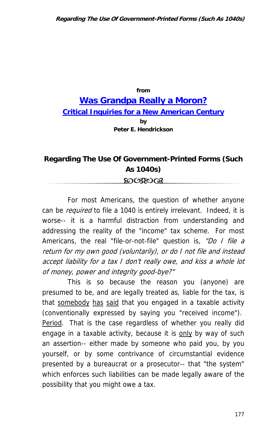## **from [Was Grandpa Really a Moron?](http://www.losthorizons.com/WGRAM.htm) [Critical Inquiries for a New American Century](http://www.losthorizons.com/WGRAM.htm) by Peter E. Hendrickson**

## **Regarding The Use Of Government-Printed Forms (Such As 1040s)** ෨ശയര

For most Americans, the question of whether anyone can be *required* to file a 1040 is entirely irrelevant. Indeed, it is worse-- it is a harmful distraction from understanding and addressing the reality of the "income" tax scheme. For most Americans, the real "file-or-not-file" question is, "Do I file a return for my own good (voluntarily), or do I not file and instead accept liability for a tax I don't really owe, and kiss a whole lot of money, power and integrity good-bye?"

This is so because the reason you (anyone) are presumed to be, and are legally treated as, liable for the tax, is that somebody has said that you engaged in a taxable activity (conventionally expressed by saying you "received income"). Period. That is the case regardless of whether you really did engage in a taxable activity, because it is only by way of such an assertion-- either made by someone who paid you, by you yourself, or by some contrivance of circumstantial evidence presented by a bureaucrat or a prosecutor-- that "the system" which enforces such liabilities can be made legally aware of the possibility that you might owe a tax.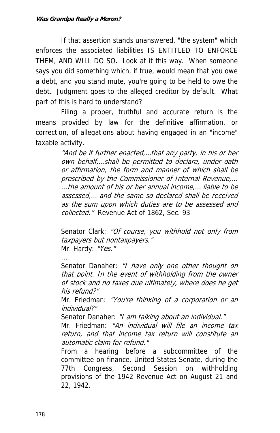If that assertion stands unanswered, "the system" which enforces the associated liabilities IS ENTITLED TO ENFORCE THEM, AND WILL DO SO. Look at it this way. When someone says you did something which, if true, would mean that you owe a debt, and you stand mute, you're going to be held to owe the debt. Judgment goes to the alleged creditor by default. What part of this is hard to understand?

Filing a proper, truthful and accurate return is the means provided by law for the definitive affirmation, or correction, of allegations about having engaged in an "income" taxable activity.

> "And be it further enacted,...that any party, in his or her own behalf,…shall be permitted to declare, under oath or affirmation, the form and manner of which shall be prescribed by the Commissioner of Internal Revenue,... ...the amount of his or her annual income,… liable to be assessed,… and the same so declared shall be received as the sum upon which duties are to be assessed and collected." Revenue Act of 1862, Sec. 93

> Senator Clark: "Of course, you withhold not only from taxpayers but nontaxpayers." Mr. Hardy: "Yes."

> Senator Danaher: "I have only one other thought on that point. In the event of withholding from the owner of stock and no taxes due ultimately, where does he get his refund?"

> Mr. Friedman: "You're thinking of a corporation or an individual?"

Senator Danaher: "I am talking about an individual."

Mr. Friedman: "An individual will file an income tax return, and that income tax return will constitute an automatic claim for refund."

From a hearing before a subcommittee of the committee on finance, United States Senate, during the 77th Congress, Second Session on withholding provisions of the 1942 Revenue Act on August 21 and 22, 1942.

...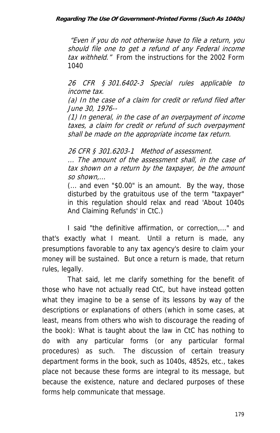"Even if you do not otherwise have to file a return, you should file one to get a refund of any Federal income tax withheld." From the instructions for the 2002 Form 1040

26 CFR § 301.6402-3 Special rules applicable to income tax.

(a) In the case of a claim for credit or refund filed after June 30, 1976--

(1) In general, in the case of an overpayment of income taxes, a claim for credit or refund of such overpayment shall be made on the appropriate income tax return.

26 CFR § 301.6203-1 Method of assessment.

... The amount of the assessment shall, in the case of tax shown on a return by the taxpayer, be the amount so shown,...

(... and even "\$0.00" is an amount. By the way, those disturbed by the gratuitous use of the term "taxpayer" in this regulation should relax and read 'About 1040s And Claiming Refunds' in CtC.)

I said "the definitive affirmation, or correction,..." and that's exactly what I meant. Until a return is made, any presumptions favorable to any tax agency's desire to claim your money will be sustained. But once a return is made, that return rules, legally.

That said, let me clarify something for the benefit of those who have not actually read CtC, but have instead gotten what they imagine to be a sense of its lessons by way of the descriptions or explanations of others (which in some cases, at least, means from others who wish to discourage the reading of the book): What is taught about the law in CtC has nothing to do with any particular forms (or any particular formal procedures) as such. The discussion of certain treasury department forms in the book, such as 1040s, 4852s, etc., takes place not because these forms are integral to its message, but because the existence, nature and declared purposes of these forms help communicate that message.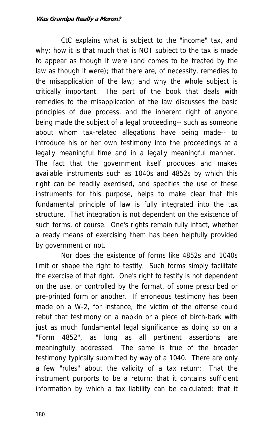CtC explains what is subject to the "income" tax, and why; how it is that much that is NOT subject to the tax is made to appear as though it were (and comes to be treated by the law as though it were); that there are, of necessity, remedies to the misapplication of the law; and why the whole subject is critically important. The part of the book that deals with remedies to the misapplication of the law discusses the basic principles of due process, and the inherent right of anyone being made the subject of a legal proceeding-- such as someone about whom tax-related allegations have being made-- to introduce his or her own testimony into the proceedings at a legally meaningful time and in a legally meaningful manner. The fact that the government itself produces and makes available instruments such as 1040s and 4852s by which this right can be readily exercised, and specifies the use of these instruments for this purpose, helps to make clear that this fundamental principle of law is fully integrated into the tax structure. That integration is not dependent on the existence of such forms, of course. One's rights remain fully intact, whether a ready means of exercising them has been helpfully provided by government or not.

Nor does the existence of forms like 4852s and 1040s limit or shape the right to testify. Such forms simply facilitate the exercise of that right. One's right to testify is not dependent on the use, or controlled by the format, of some prescribed or pre-printed form or another. If erroneous testimony has been made on a W-2, for instance, the victim of the offense could rebut that testimony on a napkin or a piece of birch-bark with just as much fundamental legal significance as doing so on a "Form 4852", as long as all pertinent assertions are meaningfully addressed. The same is true of the broader testimony typically submitted by way of a 1040. There are only a few "rules" about the validity of a tax return: That the instrument purports to be a return; that it contains sufficient information by which a tax liability can be calculated; that it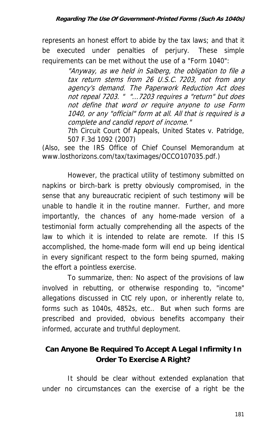represents an honest effort to abide by the tax laws; and that it be executed under penalties of perjury. These simple requirements can be met without the use of a "Form 1040":

> "Anyway, as we held in Salberg, the obligation to file a tax return stems from 26 U.S.C. 7203, not from any agency's demand. The Paperwork Reduction Act does not repeal 7203. " "...7203 requires a "return" but does not define that word or require anyone to use Form 1040, or any "official" form at all. All that is required is a complete and candid report of income."

> 7th Circuit Court Of Appeals, United States v. Patridge, 507 F.3d 1092 (2007)

(Also, see the IRS Office of Chief Counsel Memorandum at www.losthorizons.com/tax/taximages/OCCO107035.pdf.)

However, the practical utility of testimony submitted on napkins or birch-bark is pretty obviously compromised, in the sense that any bureaucratic recipient of such testimony will be unable to handle it in the routine manner. Further, and more importantly, the chances of any home-made version of a testimonial form actually comprehending all the aspects of the law to which it is intended to relate are remote. If this IS accomplished, the home-made form will end up being identical in every significant respect to the form being spurned, making the effort a pointless exercise.

To summarize, then: No aspect of the provisions of law involved in rebutting, or otherwise responding to, "income" allegations discussed in CtC rely upon, or inherently relate to, forms such as 1040s, 4852s, etc.. But when such forms are prescribed and provided, obvious benefits accompany their informed, accurate and truthful deployment.

## **Can Anyone Be Required To Accept A Legal Infirmity In Order To Exercise A Right?**

It should be clear without extended explanation that under no circumstances can the exercise of a right be the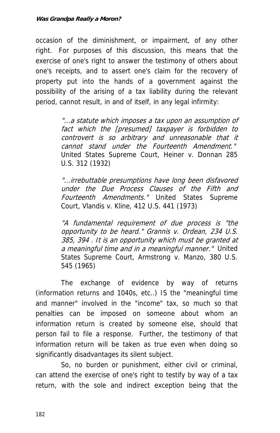occasion of the diminishment, or impairment, of any other right. For purposes of this discussion, this means that the exercise of one's right to answer the testimony of others about one's receipts, and to assert one's claim for the recovery of property put into the hands of a government against the possibility of the arising of a tax liability during the relevant period, cannot result, in and of itself, in any legal infirmity:

> "...a statute which imposes a tax upon an assumption of fact which the [presumed] taxpayer is forbidden to controvert is so arbitrary and unreasonable that it cannot stand under the Fourteenth Amendment." United States Supreme Court, Heiner v. Donnan 285 U.S. 312 (1932)

> "...irrebuttable presumptions have long been disfavored under the Due Process Clauses of the Fifth and Fourteenth Amendments." United States Supreme Court, Vlandis v. Kline, 412 U.S. 441 (1973)

> opportunity to be heard." Grannis v. Ordean, 234 U.S. "A fundamental requirement of due process is "the 385, 394 . It is an opportunity which must be granted at a meaningful time and in a meaningful manner." United States Supreme Court, Armstrong v. Manzo, 380 U.S. 545 (1965)

The exchange of evidence by way of returns (information returns and 1040s, etc..) IS the "meaningful time and manner" involved in the "income" tax, so much so that penalties can be imposed on someone about whom an information return is created by someone else, should that person fail to file a response. Further, the testimony of that information return will be taken as true even when doing so significantly disadvantages its silent subject.

So, no burden or punishment, either civil or criminal, can attend the exercise of one's right to testify by way of a tax return, with the sole and indirect exception being that the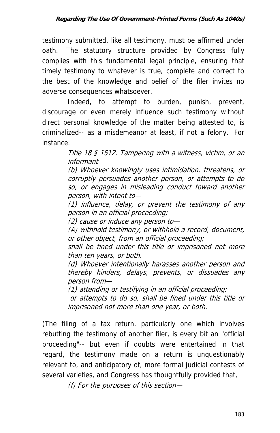testimony submitted, like all testimony, must be affirmed under oath. The statutory structure provided by Congress fully complies with this fundamental legal principle, ensuring that timely testimony to whatever is true, complete and correct to the best of the knowledge and belief of the filer invites no adverse consequences whatsoever.

Indeed, to attempt to burden, punish, prevent, discourage or even merely influence such testimony without direct personal knowledge of the matter being attested to, is criminalized-- as a misdemeanor at least, if not a felony. For instance:

> Title 18 § 1512. Tampering with a witness, victim, or an informant

> corruptly persuades another person, or attempts to do (b) Whoever knowingly uses intimidation, threatens, or so, or engages in misleading conduct toward another person, with intent to—

> (1) influence, delay, or prevent the testimony of any person in an official proceeding;

(2) cause or induce any person to—

(A) withhold testimony, or withhold a record, document, or other object, from an official proceeding;

shall be fined under this title or imprisoned not more than ten years, or both.

(d) Whoever intentionally harasses another person and thereby hinders, delays, prevents, or dissuades any person from—

(1) attending or testifying in an official proceeding;

or attempts to do so, shall be fined under this title or imprisoned not more than one year, or both.

(The filing of a tax return, particularly one which involves rebutting the testimony of another filer, is every bit an "official proceeding"-- but even if doubts were entertained in that regard, the testimony made on a return is unquestionably relevant to, and anticipatory of, more formal judicial contests of several varieties, and Congress has thoughtfully provided that,

(f) For the purposes of this section—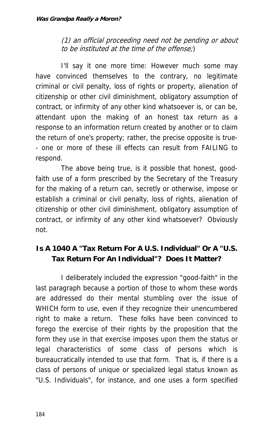(1) an official proceeding need not be pending or about to be instituted at the time of the offense;)

I'll say it one more time: However much some may have convinced themselves to the contrary, no legitimate criminal or civil penalty, loss of rights or property, alienation of citizenship or other civil diminishment, obligatory assumption of contract, or infirmity of any other kind whatsoever is, or can be, attendant upon the making of an honest tax return as a response to an information return created by another or to claim the return of one's property; rather, the precise opposite is true- - one or more of these ill effects can result from FAILING to respond.

The above being true, is it possible that honest, goodfaith use of a form prescribed by the Secretary of the Treasury for the making of a return can, secretly or otherwise, impose or establish a criminal or civil penalty, loss of rights, alienation of citizenship or other civil diminishment, obligatory assumption of contract, or infirmity of any other kind whatsoever? Obviously not.

## **Is A 1040 A "Tax Return For A U.S. Individual" Or A "U.S. Tax Return For An Individual"? Does It Matter?**

I deliberately included the expression "good-faith" in the last paragraph because a portion of those to whom these words are addressed do their mental stumbling over the issue of WHICH form to use, even if they recognize their unencumbered right to make a return. These folks have been convinced to forego the exercise of their rights by the proposition that the form they use in that exercise imposes upon them the status or legal characteristics of some class of persons which is bureaucratically intended to use that form. That is, if there is a class of persons of unique or specialized legal status known as "U.S. Individuals", for instance, and one uses a form specified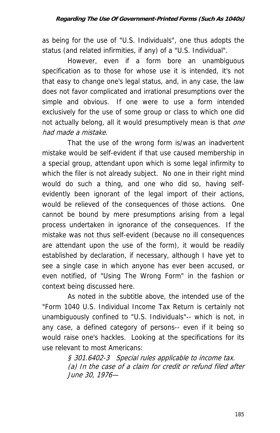as being for the use of "U.S. Individuals", one thus adopts the status (and related infirmities, if any) of a "U.S. Individual".

However, even if a form bore an unambiguous specification as to those for whose use it is intended, it's not that easy to change one's legal status, and, in any case, the law does not favor complicated and irrational presumptions over the simple and obvious. If one were to use a form intended exclusively for the use of some group or class to which one did not actually belong, all it would presumptively mean is that one had made a mistake.

That the use of the wrong form is/was an inadvertent mistake would be self-evident if that use caused membership in a special group, attendant upon which is some legal infirmity to which the filer is not already subject. No one in their right mind would do such a thing, and one who did so, having selfevidently been ignorant of the legal import of their actions, would be relieved of the consequences of those actions. One cannot be bound by mere presumptions arising from a legal process undertaken in ignorance of the consequences. If the mistake was not thus self-evident (because no ill consequences are attendant upon the use of the form), it would be readily established by declaration, if necessary, although I have yet to see a single case in which anyone has ever been accused, or even notified, of "Using The Wrong Form" in the fashion or context being discussed here.

As noted in the subtitle above, the intended use of the "Form 1040 U.S. Individual Income Tax Return is certainly not unambiguously confined to "U.S. Individuals"-- which is not, in any case, a defined category of persons-- even if it being so would raise one's hackles. Looking at the specifications for its use relevant to most Americans:

> § 301.6402-3 Special rules applicable to income tax. (a) In the case of a claim for credit or refund filed after June 30, 1976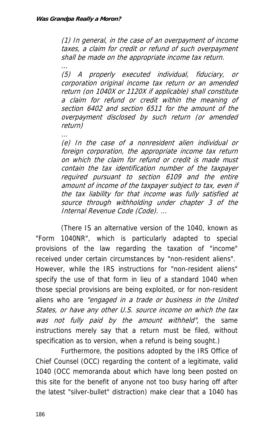...

...

(1) In general, in the case of an overpayment of income taxes, a claim for credit or refund of such overpayment shall be made on the appropriate income tax return.

(5) A properly executed individual, fiduciary, or corporation original income tax return or an amended return (on 1040X or 1120X if applicable) shall constitute a claim for refund or credit within the meaning of section 6402 and section 6511 for the amount of the overpayment disclosed by such return (or amended return)

foreign corporation, the appropriate income tax return required pursuant to section 6109 and the entire (e) In the case of a nonresident alien individual or on which the claim for refund or credit is made must contain the tax identification number of the taxpayer amount of income of the taxpayer subject to tax, even if the tax liability for that income was fully satisfied at source through withholding under chapter 3 of the Internal Revenue Code (Code). ...

. States, or have any other U.S source income on which the tax (There IS an alternative version of the 1040, known as "Form 1040NR", which is particularly adapted to special provisions of the law regarding the taxation of "income" received under certain circumstances by "non-resident aliens". However, while the IRS instructions for "non-resident aliens" specify the use of that form in lieu of a standard 1040 when those special provisions are being exploited, or for non-resident aliens who are "engaged in a trade or business in the United was not fully paid by the amount withheld", the same instructions merely say that a return must be filed, without specification as to version, when a refund is being sought.)

Furthermore, the positions adopted by the IRS Office of Chief Counsel (OCC) regarding the content of a legitimate, valid 1040 (OCC memoranda about which have long been posted on this site for the benefit of anyone not too busy haring off after the latest "silver-bullet" distraction) make clear that a 1040 has